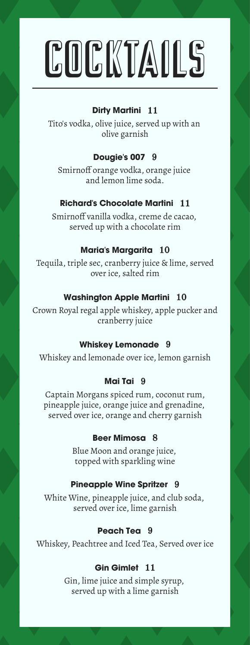# COCKTAILS

#### **Dirty Martini** 11

Tito's vodka, olive juice, served up with an olive garnish

#### **Dougie's 007** 9

Smirnoff orange vodka, orange juice and lemon lime soda.

#### **Richard's Chocolate Martini** 11

Smirnoff vanilla vodka, creme de cacao, served up with a chocolate rim

#### **Maria's Margarita** 10

Tequila, triple sec, cranberry juice & lime, served over ice, salted rim

#### **Washington Apple Martini** 10

Crown Royal regal apple whiskey, apple pucker and cranberry juice

#### **Whiskey Lemonade** 9

Whiskey and lemonade over ice, lemon garnish

#### **Mai Tai** 9

Captain Morgans spiced rum, coconut rum, pineapple juice, orange juice and grenadine, served over ice, orange and cherry garnish

#### **Beer Mimosa** 8

Blue Moon and orange juice, topped with sparkling wine

#### **Pineapple Wine Spritzer** 9

White Wine, pineapple juice, and club soda, served over ice, lime garnish

#### **Peach Tea** 9

Whiskey, Peachtree and Iced Tea, Served over ice

#### **Gin Gimlet** 11

Gin, lime juice and simple syrup, served up with a lime garnish